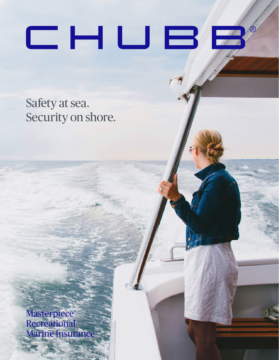# $\Box$  HU $\Xi$

Safety at sea. Security on shore.

Masterpiece® **Recreational** Marine Insurance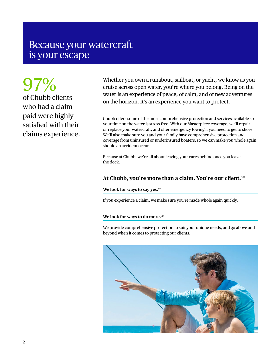## Because your watercraft is your escape

97% of Chubb clients who had a claim paid were highly satisfied with their claims experience.

Whether you own a runabout, sailboat, or yacht, we know as you cruise across open water, you're where you belong. Being on the water is an experience of peace, of calm, and of new adventures on the horizon. It's an experience you want to protect.

Chubb offers some of the most comprehensive protection and services available so your time on the water is stress-free. With our Masterpiece coverage, we'll repair or replace your watercraft, and offer emergency towing if you need to get to shore. We'll also make sure you and your family have comprehensive protection and coverage from uninsured or underinsured boaters, so we can make you whole again should an accident occur.

Because at Chubb, we're all about leaving your cares behind once you leave the dock.

#### **At Chubb, you're more than a claim. You're our client.**SM

#### We look for ways to say yes.<sup>SM</sup>

If you experience a claim, we make sure you're made whole again quickly.

#### **We look for ways to do more.**SM

We provide comprehensive protection to suit your unique needs, and go above and beyond when it comes to protecting our clients.

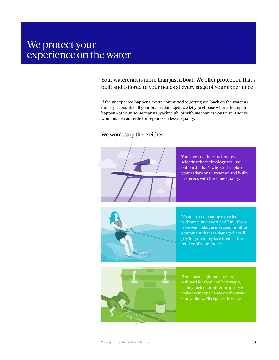## We protect your experience on the water

Your watercraft is more than just a boat. We offer protection that's built and tailored to your needs at every stage of your experience.

If the unexpected happens, we're committed to getting you back on the water as quickly as possible. If your boat is damaged, we let you choose where the repairs happen – at your home marina, yacht club, or with mechanics you trust. And we won't make you settle for repairs of a lesser quality.

#### We won't stop there either:



You invested time and energy selecting the technology you use onboard – that's why we'll replace your radar/sonar systems\* and builtin stereos with the same quality.



It's not a true boating experience without a little sport and fun. If you have water skis, scuba gear, or other equipment that are damaged, we'll pay for you to replace them at the retailer of your choice.



If you have high-end coolers onboard for food and beverages, fishing tackle, or other property to make your experience on the water enjoyable, we'll replace those too.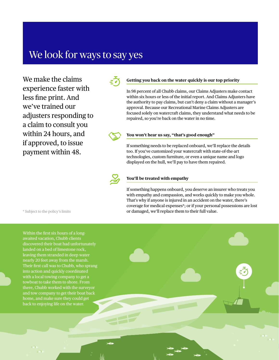## We look for ways to say yes

We make the claims experience faster with less fine print. And we've trained our adjusters responding to a claim to consult you within 24 hours, and if approved, to issue payment within 48.



#### **Getting you back on the water quickly is our top priority**

In 98 percent of all Chubb claims, our Claims Adjusters make contact within six hours or less of the initial report. And Claims Adjusters have the authority to pay claims, but can't deny a claim without a manager's approval. Because our Recreational Marine Claims Adjusters are focused solely on watercraft claims, they understand what needs to be repaired, so you're back on the water in no time.



#### **You won't hear us say, "that's good enough"**

If something needs to be replaced onboard, we'll replace the details too. If you've customized your watercraft with state-of-the-art technologies, custom furniture, or even a unique name and logo displayed on the hull, we'll pay to have them repaired.



#### **You'll be treated with empathy**

If something happens onboard, you deserve an insurer who treats you with empathy and compassion, and works quickly to make you whole. That's why if anyone is injured in an accident on the water, there's coverage for medical expenses\*; or if your personal possessions are lost or damaged, we'll replace them to their full value.

\* Subject to the policy's limits

Within the first six hours of a longawaited vacation, Chubb clients discovered their boat had unfortunately landed on a bed of limestone rock, leaving them stranded in deep water nearly 20 feet away from the marsh. Their first call was to Chubb, who sprang into action and quickly coordinated with a local towing company to get a towboat to take them to shore. From there, Chubb worked with the surveyor and tow company to get their boat back home, and make sure they could get back to enjoying life on the water.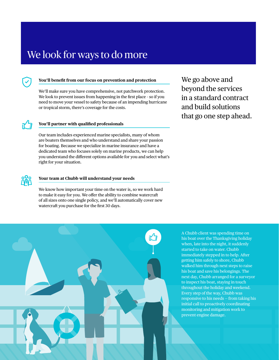## We look for ways to do more



#### **You'll benefit from our focus on prevention and protection**

We'll make sure you have comprehensive, not patchwork protection. We look to prevent issues from happening in the first place – so if you need to move your vessel to safety because of an impending hurricane or tropical storm, there's coverage for the costs.

#### **You'll partner with qualified professionals**

Our team includes experienced marine specialists, many of whom are boaters themselves and who understand and share your passion for boating. Because we specialize in marine insurance and have a dedicated team who focuses solely on marine products, we can help you understand the different options available for you and select what's right for your situation.

We go above and beyond the services in a standard contract and build solutions that go one step ahead.

#### **Your team at Chubb will understand your needs**

We know how important your time on the water is, so we work hard to make it easy for you. We offer the ability to combine watercraft of all sizes onto one single policy, and we'll automatically cover new watercraft you purchase for the first 30 days.

A Chubb client was spending time on his boat over the Thanksgiving holiday when, late into the night, it suddenly started to take on water. Chubb immediately stepped in to help. After getting him safely to shore, Chubb walked him through next steps to raise his boat and save his belongings. The next day, Chubb arranged for a surveyor to inspect his boat, staying in touch throughout the holiday and weekend. Every step of the way, Chubb was responsive to his needs — from taking his initial call to proactively coordinating monitoring and mitigation work to prevent engine damage.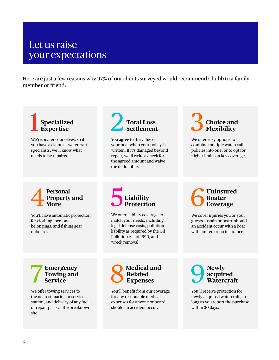## Let us raise your expectations

Here are just a few reasons why 97% of our clients surveyed would recommend Chubb to a family member or friend:

1 **Specialized Expertise** 

We're boaters ourselves, so if you have a claim, as watercraft specialists, we'll know what needs to be repaired.

## 2 **Total Loss Settlement**

You agree to the value of your boat when your policy is written. If it's damaged beyond repair, we'll write a check for the agreed amount and waive the deductible.

## 3 **Choice and Flexibility**

We offer easy options to combine multiple watercraft policies into one, or to opt for higher limits on key coverages.

**1** Personal Property More **Property and More**

You'll have automatic protection for clothing, personal belongings, and fishing gear onboard.



We offer liability coverage to match your needs, including: legal defense costs, pollution liability as required by the Oil Pollution Act of 1990, and wreck removal.

### 6 **Uninsured Boater Coverage**

We cover injuries you or your guests sustain onboard should an accident occur with a boat with limited or no insurance.

#### 7 **Emergency Towing and Service**

We offer towing services to the nearest marina or service station, and delivery of any fuel or repair parts at the breakdown site.



You'll benefit from our coverage for any reasonable medical expenses for anyone onboard should an accident occur.

## **O** Newly-<br> **Waterc acquired Watercraft**

You'll receive protection for newly-acquired watercraft, so long as you report the purchase within 30 days.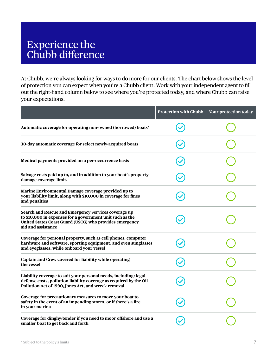## Experience the Chubb difference

At Chubb, we're always looking for ways to do more for our clients. The chart below shows the level of protection you can expect when you're a Chubb client. Work with your independent agent to fill out the right-hand column below to see where you're protected today, and where Chubb can raise your expectations.

|                                                                                                                                                                                                    | <b>Protection with Chubb</b> | Your protection today |
|----------------------------------------------------------------------------------------------------------------------------------------------------------------------------------------------------|------------------------------|-----------------------|
| Automatic coverage for operating non-owned (borrowed) boats*                                                                                                                                       |                              |                       |
| 30-day automatic coverage for select newly-acquired boats                                                                                                                                          |                              |                       |
| Medical payments provided on a per-occurrence basis                                                                                                                                                |                              |                       |
| Salvage costs paid up to, and in addition to your boat's property<br>damage coverage limit.                                                                                                        |                              |                       |
| Marine Environmental Damage coverage provided up to<br>your liability limit, along with \$10,000 in coverage for fines<br>and penalties                                                            |                              |                       |
| Search and Rescue and Emergency Services coverage up<br>to \$10,000 in expenses for a government unit such as the<br>United States Coast Guard (USCG) who provides emergency<br>aid and assistance |                              |                       |
| Coverage for personal property, such as cell phones, computer<br>hardware and software, sporting equipment, and even sunglasses<br>and eyeglasses, while onboard your vessel                       |                              |                       |
| Captain and Crew covered for liability while operating<br>the vessel                                                                                                                               |                              |                       |
| Liability coverage to suit your personal needs, including: legal<br>defense costs, pollution liability coverage as required by the Oil<br>Pollution Act of 1990, Jones Act, and wreck removal      |                              |                       |
| Coverage for precautionary measures to move your boat to<br>safety in the event of an impending storm, or if there's a fire<br>in your marina                                                      |                              |                       |
| Coverage for dinghy/tender if you need to moor offshore and use a<br>smaller boat to get back and forth                                                                                            |                              |                       |